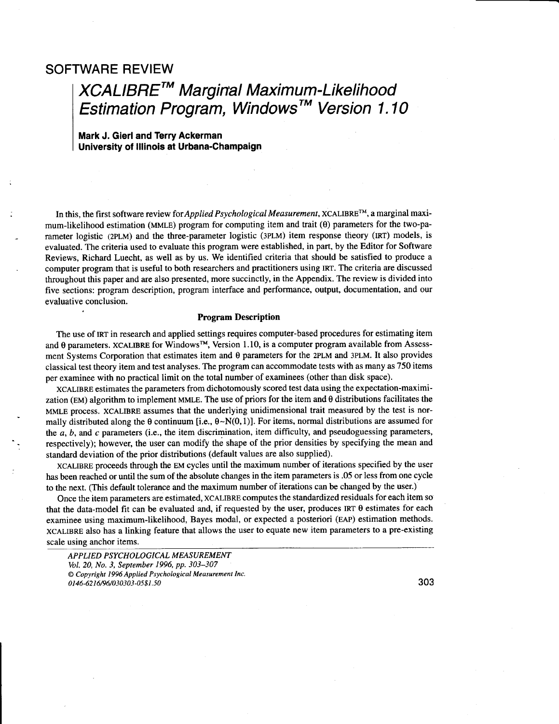### SOFTWARE REVIEW

# XCALIBRE'\* Marginal Maximum-Likelihood Estimation Program, Windows<sup>™</sup> Version 1.10

#### Mark J. Gierl and Terry Ackerman University of lllinois at Urbana-Ghampaign

In this, the first software review for *Applied Psychological Measurement*, XCALIBRE<sup>TM</sup>, a marginal maximum-likelihood estimation (MMLE) program for computing item and trait  $(\theta)$  parameters for the two-parameter logistic (2PLM) and the three-parameter logistic (3PLM) item response theory (IRT) models, is evaluated. The criteria used to evaluate this program were established, in part, by the Editor for Software Reviews, Richard Luecht, as well as by us. We identified criteria that should be satisfied to produce a computer program that is useful to both researchers and practitioners using nr. The criteria are discussed throughout this paper and are also presented, more succinctly, in the Appendix. The review is divided into five sections: program description, program interface and performance, output, documentation, and our evaluative conclusion.

#### Program Description

The use of IRT in research and applied settings requires computer-based procedures for estimating item and  $\theta$  parameters. XCALIBRE for Windows<sup>TM</sup>, Version 1.10, is a computer program available from Assessment Systems Corporation that estimates item and  $\theta$  parameters for the 2PLM and 3PLM. It also provides classical test theory item and test analyses. The program can accommodate tests with as many as 750 items per examinee with no practical limit on the total number of examinees (other than disk space).

xcALIBRE estimates the parameters from dichotomously scored test data using the expectation-maximization ( $EM$ ) algorithm to implement MMLE. The use of priors for the item and  $\theta$  distributions facilitates the MMLE process. XCALIBRE assumes that the underlying unidimensional trait measured by the test is normally distributed along the  $\theta$  continuum [i.e.,  $\theta \sim N(0, 1)$ ]. For items, normal distributions are assumed for the  $a, b$ , and  $c$  parameters (i.e., the item discrimination, item difficulty, and pseudoguessing parameters, respectively); however, the user can modify the shape of the prior densities by specifying the mean and standard deviation of the prior distributions (default values are also supplied).

XCALIBRE proceeds through the EM cycles until the maximum number of iterations specified by the user has been reached or until the sum of the absolute changes in the item parameters is .05 or less from one cycle to the next. (This default tolerance and the maximum number of iterations can be changed by the user.)

Once the item parameters are estimated, xCALIBRE computes the standardized residuals for each item so that the data-model fit can be evaluated and, if requested by the user, produces IRT  $\theta$  estimates for each examinee using maximumlikelihood, Bayes modal, or expected a posteriori (EAP) estimation methods. xCALTBRE also has a linking feature that allows the user to equate new item parameters to a pre-existing scale using anchor items.

APPLIED PSYCHOLOGICAL MEASUREMENT Vol.20, No. 3, September 1996, pp. 303-307 @ Copyright 1996 Applied Psychological Measurement Inc.  $0.146 - 6216/96/030303 - 0581.50$  303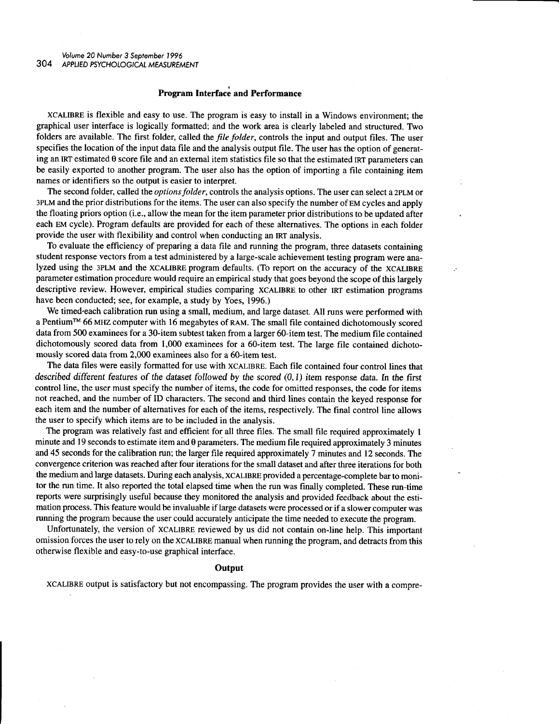#### Program Interface and Performance

XCALIBRE is flexible and easy to use. The program is easy to install in a Windows environment; the graphical user interface is logically formatted; and the work area is clearly labeled and structured. Two folders are available. The first folder, called the *file folder*, controls the input and output files. The user specifies the location of the input data file and the analysis output file. The user has the option of generating an IRT estimated  $\theta$  score file and an external item statistics file so that the estimated IRT parameters can be easily exported to another program. The user also has the option of importing a file containing item names or identifiers so the output is easier to interpret.

The second folder, called the options folder, controls the analysis options. The user can select a 2PLM or 3PLM and the prior distributions for the items. The user can also specify the number of EM cycles and apply the floating priors option (i.e., allow the mean for the item parameter prior distributions to be updated after each EM cycle). Program defaults are provided for each of these alternatives. The options in each folder provide the user with flexibility and control when conducting an IRT analysis.

To evaluate the efficiency of preparing a data file and running the program, three datasets containing student response vectors from a test administered by a large-scale achievement testing program were analyzed using the 3PLM and the xCALIBRE program defaults. (To report on the accuracy of the xcALTBRE parameter estimation procedure would require an empirical study that goes beyond the scope of this largely descriptive review. However, empirical studies comparing XCALIBRE to other IRr estimation programs have been conducted; see, for example, a study by Yoes, 1996.)

We timed each calibration run using a small, medium, and large dataset. All runs were performed with a Pentium<sup>™</sup> 66 MHZ computer with 16 megabytes of RAM. The small file contained dichotomously scored data from 500 examinees for a 30-item subtest taken from a larger 60-item test. The medium file contained dichotomously scored data from 1,000 examinees for a 60-item test. The large file contained dichotomously scored data from 2,000 examinees also for a 60-item test.

The data files were easily formatted for use with XCALIBRE. Each file contained four control lines that described different features of the dataset followed by the scored (0,1) item response data. In the first control line, the user must specify the number of items, the code for omitted responses, the code for items not reached, and the number of ID characters. The second and third lines contain the keyed response for each item and the number of alternatives for each of the items, respectively. The final control line allows the user to specify which items are to be included in the analysis.

The program was relatively fast and efficient for all three files. The small file required approximately I minute and 19 seconds to estimate item and  $\theta$  parameters. The medium file required approximately 3 minutes and 45 seconds for the calibration run; the larger file required approximately 7 minutes and 12 seconds. The convergence criterion was reached after four iterations for the small dataset and after three iterations for both the medium and large datasets. During each analysis, XCALIBRE provided a percentage-complete bar to monitor the run time. It also reported the total elapsed time when the run was finally completed. These run-time reports were surprisingly useful because they monitored the analysis and provided feedback about the estimation process. This feature would be invaluable if large datasets were processed or if a slower computer was running the program because the user could accurately anticipate the time needed to execute the program.

Unfortunately, the version of XCALIBRE reviewed by us did not contain on-line help. This important omission forces the user to rely on the xCALIBRE manual when running the program, and detracts from this otherwise flexible and easy-to-use graphical interface.

#### **Output**

XCALIBRE output is satisfactory but not encompassing. The program provides the user with a compre-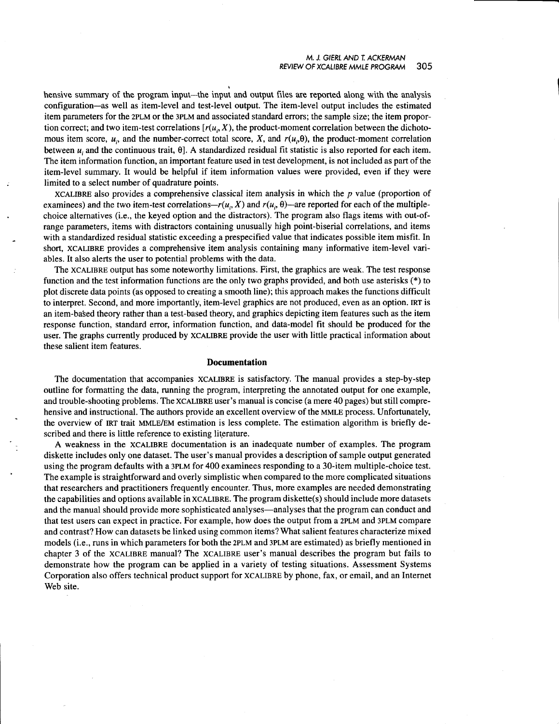hensive summary of the program input-the input and output files are reported along with the analysis configuration-as well as item-level and test-level output. The item-level output includes the estimated item parameters for the 2PLM or the 3PLM and associated standard errors; the sample size; the item proportion correct; and two item-test correlations  $[r(u, X)]$ , the product-moment correlation between the dichotomous item score,  $u_i$ , and the number-correct total score, X, and  $r(u_i, \theta)$ , the product-moment correlation between  $u_i$ , and the continuous trait,  $\theta$ . A standardized residual fit statistic is also reported for each item. The item information function, an important feature used in test development, is not included as part of the item-level summary. It would be helpful if item information values were provided, even if they were limited to a select number of quadrature points.

XCALIBRE also provides a comprehensive classical item analysis in which the  $p$  value (proportion of examinees) and the two item-test correlations- $r(u_i, X)$  and  $r(u_i, \theta)$ -are reported for each of the multiplechoice alternatives (i.e., the keyed option and the distractors). The program also flags items with out-ofrange parameters, items with distractors containing unusually high point-biserial correlations, and items with a standardized residual statistic exceeding a prespecified value that indicates possible item misfit. In short, XCALIBRE provides a comprehensive item analysis containing many informative item-level variables. It also alerts the user to potential problems with the data.

The xCALIBRE output has some noteworthy limitations. First, the graphics are weak. The test response function and the test information functions are the only two graphs provided, and both use asterisks (\*) to plot discrete data points (as opposed to creating a smooth line); this approach makes the functions difficult to interpret. Second, and more importantly, item-level graphics are not produced, even as an option. IRT is an item-babed theory rather than a test-based theory, and graphics depicting item features such as the item response function, standard error, information function, and data-model fit should be produced for the user. The graphs currently produced by XCALIBRE provide the user with little practical information about these salient item features.

#### Documentation

The documentation that accompanies xcALIBRE is satisfactory. The manual provides a step-by-step outline for formatting the data, running the program, interpreting the annotated output for one example, and trouble-shooting problems. The XCALIBRE user's manual is concise (a mere 40 pages) but still comprehensive and instructional. The authors provide an excellent overview of the MMLE process. Unfortunately, the overview of nr trait MMLE/EM estimation is less complete. The estimation algorithm is briefly described and there is little reference to existing literature.

A weakness in the xCALIBRE documentation is an inadequate number of examples. The program diskette includes only one dataset. The user's manual provides a description of sample output generated using the program defaults with a 3PLM for 400 examinees responding to a 30-item multiple-choice test. The example is straightforward and overly simplistic when compared to the more complicated situations that researchers and practitioners frequently encounter. Thus, more examples are needed demonstrating the capabilities and options available in xcALIBRE. The program diskette(s) should include more datasets and the manual should provide more sophisticated analyses-analyses that the program can conduct and that test users can expect in practice. For example, how does the output from a 2PLM and 3PLM compare and contrast? How can datasets be linked using common items? What salient features characterize mixed models (i.e., runs in which parameters for both the 2PLM and 3pLu are estimated) as briefly mentioned in chapter 3 of the XCALIBRE manual? The XCALIBRE user's manual describes the program but fails to demonstrate how the program can be applied in a variety of testing situations. Assessment Systems Corporation also offers technical product support for XCALIBRE by phone, fax, or email, and an Internet Web site.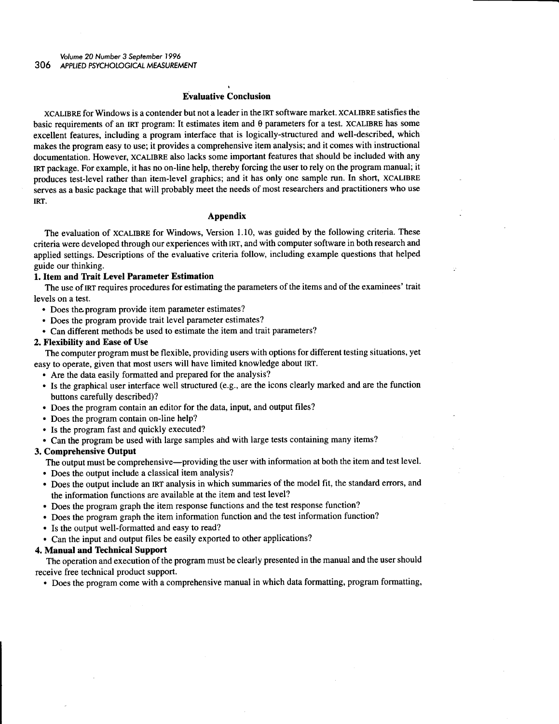#### **Evaluative Conclusion**

XCALIBRE for Windows is a contender but not a leader in the IRT software market. XCALIBRE satisfies the basic requirements of an IRT program: It estimates item and  $\theta$  parameters for a test. XCALIBRE has some excellent features, including a program interface that is logically-structured and well-described, which makes the program easy to use; it provides a comprehensive item analysis; and it comes with instructional documentation. However, XCALIBRE also lacks some important features that should be included with any IRT package. For example, it has no on-line help, thereby forcing the user to rely on the program manual; it produces test-level rather than item-level graphics; and it has only one sample run. In short, XCALIBRE serves as a basic package that will probably meet the needs of most researchers and practitioners who use IRT.

#### **Appendix**

The evaluation of XCALIBRE for Windows, Version 1.10, was guided by the following criteria. These criteria were developed through our experiences with IRT, and with computer software in both research and applied settings. Descriptions of the evaluative criteria follow, including example questions that helped guide our thinking.

#### 1. Item and Trait Level Parameter Estimation

The use of IRT requires procedures for estimating the parameters of the items and of the examinees' trait levels on a test.

- . Does theprogram provide item parameter estimates?
- . Does the program provide trait level parameter estimates?
- . Can different methods be used to estimate the item and trait parameters?

#### 2. Flexibitity and Ease of Use

The computer program must be flexible, providing users with options for different testing situations, yet easy to operate, given that most users will have limited knowledge about IRT.

- . Are the data easily formatted and prepared for the analysis?
- . Is the graphical user interface well structured (e.g., are the icons clearly marked and are the function buttons carefully described)?
- . Does the program contain an editor for the data, input, and output files?
- Does the program contain on-line help?
- . Is the program fast and quickly executed?
- . Can the program be used with large samples aird with large tests containing many items?

#### 3. Comprehensive Output

The output must be comprehensive-providing the user with information at both the item and test level.

- . Does the output include a classical item analysis?
- . Does the output include an InT analysis in which summaries of the model fit, the standard erors, and the information functions are available at the item and test level?
- . Does the program graph the item response functions and the test response function?
- . Does the program graph the item information function and the test information function?
- . Is the output well-formatted and easy to read?
- . Can the input and output files be easily exported to other applications?

#### 4. Manual and Technical Support

The operation and execution of the program must be clearly presented in the manual and the user should receive free technical product support.

. Does the program come with a comprehensive manual in which data formatting, program formatting,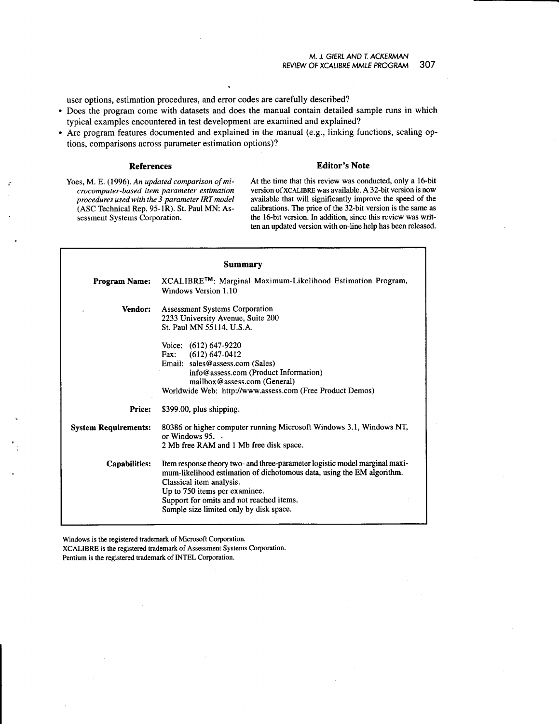#### M. J. GIERL AND T. ACKERMAN REVIEW OF XCALIBRE MMLE PROGRAM 307

user options, estimation procedures, and error codes are carefully described?

- . Does the program come with datasets and does the manual contain detailed sample runs in which typical examples encountered in test development are examined and explained?
- . Are program features documented and explained in the manual (e.g., linking functions, scaling options, comparisons across parameter estimation options)?

#### References Editor's Note

(ASC Technical Rep. 95-1R). St. Paul MN: Assessment Systems Corporation.

Yoes, M. E. (1996). An updated comparison of mi-<br>crocomputer-based item parameter estimation version of XCALIBRE was available. A 32-bit version is now crocomputer-based item parameter estimation version of XCALIBRE was available. A 32-bit version is now<br>procedures used with the 3-parameter IRT model available that will significantly improve the speed of the available that will significantly improve the speed of the calibrations. The price of the 32-bit version is the same as the 16-bit version. In addition, since this review was written an updated version with on-line help has been released.

| <b>Summary</b>              |                                                                                                                                                                                                                                                                                                           |
|-----------------------------|-----------------------------------------------------------------------------------------------------------------------------------------------------------------------------------------------------------------------------------------------------------------------------------------------------------|
| Program Name:               | XCALIBRE™: Marginal Maximum-Likelihood Estimation Program,<br>Windows Version 1.10                                                                                                                                                                                                                        |
| Vendor:                     | <b>Assessment Systems Corporation</b><br>2233 University Avenue, Suite 200<br>St. Paul MN 55114, U.S.A.                                                                                                                                                                                                   |
|                             | Voice: (612) 647-9220<br>Fax: (612) 647-0412<br>Email: sales@assess.com (Sales)<br>info@assess.com (Product Information)<br>mailbox@assess.com (General)<br>Worldwide Web: http://www.assess.com (Free Product Demos)                                                                                     |
| <b>Price:</b>               | \$399.00, plus shipping.                                                                                                                                                                                                                                                                                  |
| <b>System Requirements:</b> | 80386 or higher computer running Microsoft Windows 3.1, Windows NT,<br>or Windows $95.$ .<br>2 Mb free RAM and 1 Mb free disk space.                                                                                                                                                                      |
| Capabilities:               | Item response theory two- and three-parameter logistic model marginal maxi-<br>mum-likelihood estimation of dichotomous data, using the EM algorithm.<br>Classical item analysis.<br>Up to 750 items per examinee.<br>Support for omits and not reached items.<br>Sample size limited only by disk space. |

Windows is the registered trademark of Microsoft Corporation.

XCALIBRE is the registered trademark of Assessment Systems Corporation'

Pentium is the registered trademark of INTEL Corporation.